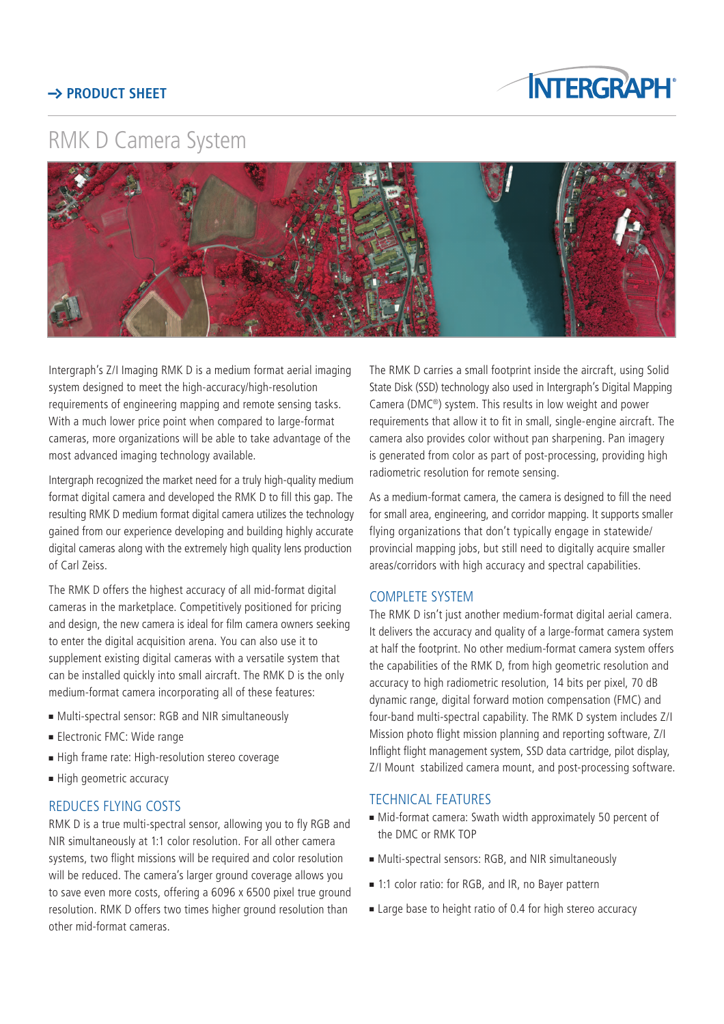## **PRODUCT SHEFT**



# RMK D Camera System



Intergraph's Z/I Imaging RMK D is a medium format aerial imaging system designed to meet the high-accuracy/high-resolution requirements of engineering mapping and remote sensing tasks. With a much lower price point when compared to large-format cameras, more organizations will be able to take advantage of the most advanced imaging technology available.

Intergraph recognized the market need for a truly high-quality medium format digital camera and developed the RMK D to fill this gap. The resulting RMK D medium format digital camera utilizes the technology gained from our experience developing and building highly accurate digital cameras along with the extremely high quality lens production of Carl Zeiss.

The RMK D offers the highest accuracy of all mid-format digital cameras in the marketplace. Competitively positioned for pricing and design, the new camera is ideal for film camera owners seeking to enter the digital acquisition arena. You can also use it to supplement existing digital cameras with a versatile system that can be installed quickly into small aircraft. The RMK D is the only medium-format camera incorporating all of these features:

- $\blacksquare$  Multi-spectral sensor: RGB and NIR simultaneously
- **Electronic FMC: Wide range**
- High frame rate: High-resolution stereo coverage
- High geometric accuracy

### REDUCES FLYING COSTS

RMK D is a true multi-spectral sensor, allowing you to fly RGB and NIR simultaneously at 1:1 color resolution. For all other camera systems, two flight missions will be required and color resolution will be reduced. The camera's larger ground coverage allows you to save even more costs, offering a 6096 x 6500 pixel true ground resolution. RMK D offers two times higher ground resolution than other mid-format cameras.

The RMK D carries a small footprint inside the aircraft, using Solid State Disk (SSD) technology also used in Intergraph's Digital Mapping Camera (DMC®) system. This results in low weight and power requirements that allow it to fit in small, single-engine aircraft. The camera also provides color without pan sharpening. Pan imagery is generated from color as part of post-processing, providing high radiometric resolution for remote sensing.

As a medium-format camera, the camera is designed to fill the need for small area, engineering, and corridor mapping. It supports smaller flying organizations that don't typically engage in statewide/ provincial mapping jobs, but still need to digitally acquire smaller areas/corridors with high accuracy and spectral capabilities.

#### COMPLETE SYSTEM

The RMK D isn't just another medium-format digital aerial camera. It delivers the accuracy and quality of a large-format camera system at half the footprint. No other medium-format camera system offers the capabilities of the RMK D, from high geometric resolution and accuracy to high radiometric resolution, 14 bits per pixel, 70 dB dynamic range, digital forward motion compensation (FMC) and four-band multi-spectral capability. The RMK D system includes Z/I Mission photo flight mission planning and reporting software, Z/I Inflight flight management system, SSD data cartridge, pilot display, Z/I Mount stabilized camera mount, and post-processing software.

#### TECHNICAL FEATURES

- $\blacksquare$  Mid-format camera: Swath width approximately 50 percent of the DMC or RMK TOP
- $\blacksquare$  Multi-spectral sensors: RGB, and NIR simultaneously
- 1:1 color ratio: for RGB, and IR, no Bayer pattern
- $\blacksquare$  Large base to height ratio of 0.4 for high stereo accuracy